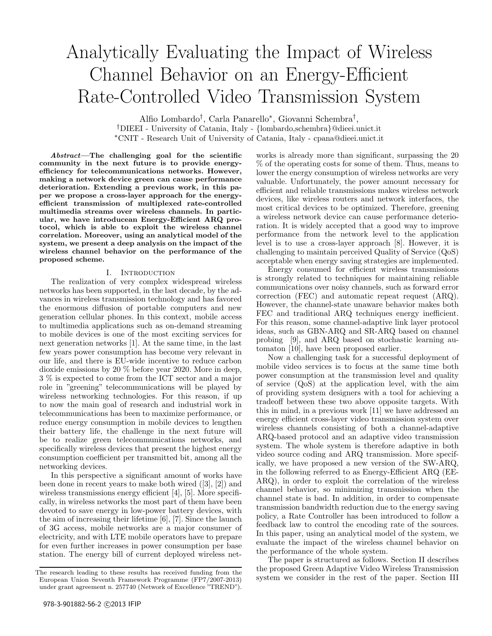# Analytically Evaluating the Impact of Wireless Channel Behavior on an Energy-Efficient Rate-Controlled Video Transmission System

Alfio Lombardo*†* , Carla Panarello*∗* , Giovanni Schembra*†* , *†*DIEEI - University of Catania, Italy - *{*lombardo,schembra*}*@dieei.unict.it *∗*CNIT - Research Unit of University of Catania, Italy - cpana@dieei.unict.it

*Abstract***—The challenging goal for the scientific community in the next future is to provide energyefficiency for telecommunications networks. However, making a network device green can cause performance deterioration. Extending a previous work, in this paper we propose a cross-layer approach for the energyefficient transmission of multiplexed rate-controlled multimedia streams over wireless channels. In particular, we have introducean Energy-Efficient ARQ protocol, which is able to exploit the wireless channel correlation. Moreover, using an analytical model of the system, we present a deep analysis on the impact of the wireless channel behavior on the performance of the proposed scheme.**

# I. Introduction

The realization of very complex widespread wireless networks has been supported, in the last decade, by the advances in wireless transmission technology and has favored the enormous diffusion of portable computers and new generation cellular phones. In this context, mobile access to multimedia applications such as on-demand streaming to mobile devices is one of the most exciting services for next generation networks [1]. At the same time, in the last few years power consumption has become very relevant in our life, and there is EU-wide incentive to reduce carbon dioxide emissions by 20 % before year 2020. More in deep, 3 % is expected to come from the ICT sector and a major role in "greening" telecommunications will be played by wireless networking technologies. For this reason, if up to now the main goal of research and industrial work in telecommunications has been to maximize performance, or reduce energy consumption in mobile devices to lengthen their battery life, the challenge in the next future will be to realize green telecommunications networks, and specifically wireless devices that present the highest energy consumption coefficient per transmitted bit, among all the networking devices.

In this perspective a significant amount of works have been done in recent years to make both wired ([3], [2]) and wireless transmissions energy efficient [4], [5]. More specifically, in wireless networks the most part of them have been devoted to save energy in low-power battery devices, with the aim of increasing their lifetime [6], [7]. Since the launch of 3G access, mobile networks are a major consumer of electricity, and with LTE mobile operators have to prepare for even further increases in power consumption per base station. The energy bill of current deployed wireless networks is already more than significant, surpassing the 20 % of the operating costs for some of them. Thus, means to lower the energy consumption of wireless networks are very valuable. Unfortunately, the power amount necessary for efficient and reliable transmissions makes wireless network devices, like wireless routers and network interfaces, the most critical devices to be optimized. Therefore, greening a wireless network device can cause performance deterioration. It is widely accepted that a good way to improve performance from the network level to the application level is to use a cross-layer approach [8]. However, it is challenging to maintain perceived Quality of Service (QoS) acceptable when energy saving strategies are implemented.

Energy consumed for efficient wireless transmissions is strongly related to techniques for maintaining reliable communications over noisy channels, such as forward error correction (FEC) and automatic repeat request (ARQ). However, the channel-state unaware behavior makes both FEC and traditional ARQ techniques energy inefficient. For this reason, some channel-adaptive link layer protocol ideas, such as GBN-ARQ and SR-ARQ based on channel probing [9], and ARQ based on stochastic learning automaton [10], have been proposed earlier.

Now a challenging task for a successful deployment of mobile video services is to focus at the same time both power consumption at the transmission level and quality of service (QoS) at the application level, with the aim of providing system designers with a tool for achieving a tradeoff between these two above opposite targets. With this in mind, in a previous work [11] we have addressed an energy efficient cross-layer video transmission system over wireless channels consisting of both a channel-adaptive ARQ-based protocol and an adaptive video transmission system. The whole system is therefore adaptive in both video source coding and ARQ transmission. More specifically, we have proposed a new version of the SW-ARQ, in the following referred to as Energy-Efficient ARQ (EE-ARQ), in order to exploit the correlation of the wireless channel behavior, so minimizing transmission when the channel state is bad. In addition, in order to compensate transmission bandwidth reduction due to the energy saving policy, a Rate Controller has been introduced to follow a feedback law to control the encoding rate of the sources. In this paper, using an analytical model of the system, we evaluate the impact of the wireless channel behavior on the performance of the whole system.

The paper is structured as follows. Section II describes the proposed Green Adaptive Video Wireless Transmission system we consider in the rest of the paper. Section III

The research leading to these results has received funding from the European Union Seventh Framework Programme (FP7/2007-2013) under grant agreement n. 257740 (Network of Excellence "TREND").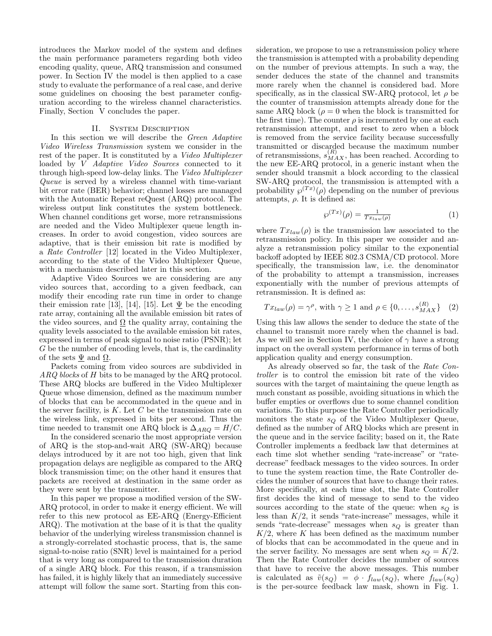introduces the Markov model of the system and defines the main performance parameters regarding both video encoding quality, queue, ARQ transmission and consumed power. In Section IV the model is then applied to a case study to evaluate the performance of a real case, and derive some guidelines on choosing the best parameter configuration according to the wireless channel characteristics. Finally, Section V concludes the paper.

### II. System Description

In this section we will describe the *Green Adaptive Video Wireless Transmission* system we consider in the rest of the paper. It is constituted by a *Video Multiplexer* loaded by *V Adaptive Video Sources* connected to it through high-speed low-delay links. The *Video Multiplexer Queue* is served by a wireless channel with time-variant bit error rate (BER) behavior; channel losses are managed with the Automatic Repeat reQuest (ARQ) protocol. The wireless output link constitutes the system bottleneck. When channel conditions get worse, more retransmissions are needed and the Video Multiplexer queue length increases. In order to avoid congestion, video sources are adaptive, that is their emission bit rate is modified by a *Rate Controller* [12] located in the Video Multiplexer, according to the state of the Video Multiplexer Queue, with a mechanism described later in this section.

Adaptive Video Sources we are considering are any video sources that, according to a given feedback, can modify their encoding rate run time in order to change their emission rate [13], [14], [15]. Let  $\Psi$  be the encoding rate array, containing all the available emission bit rates of the video sources, and  $\Omega$  the quality array, containing the quality levels associated to the available emission bit rates, expressed in terms of peak signal to noise ratio (PSNR); let *G* be the number of encoding levels, that is, the cardinality of the sets  $\Psi$  and  $\Omega$ .

Packets coming from video sources are subdivided in *ARQ blocks* of *H* bits to be managed by the ARQ protocol. These ARQ blocks are buffered in the Video Multiplexer Queue whose dimension, defined as the maximum number of blocks that can be accommodated in the queue and in the server facility, is *K*. Let *C* be the transmission rate on the wireless link, expressed in bits per second. Thus the time needed to transmit one ARQ block is  $\Delta_{ARQ} = H/C$ .

In the considered scenario the most appropriate version of ARQ is the stop-and-wait ARQ (SW-ARQ) because delays introduced by it are not too high, given that link propagation delays are negligible as compared to the ARQ block transmission time; on the other hand it ensures that packets are received at destination in the same order as they were sent by the transmitter.

In this paper we propose a modified version of the SW-ARQ protocol, in order to make it energy efficient. We will refer to this new protocol as EE-ARQ (Energy-Efficient ARQ). The motivation at the base of it is that the quality behavior of the underlying wireless transmission channel is a strongly-correlated stochastic process, that is, the same signal-to-noise ratio (SNR) level is maintained for a period that is very long as compared to the transmission duration of a single ARQ block. For this reason, if a transmission has failed, it is highly likely that an immediately successive attempt will follow the same sort. Starting from this consideration, we propose to use a retransmission policy where the transmission is attempted with a probability depending on the number of previous attempts. In such a way, the sender deduces the state of the channel and transmits more rarely when the channel is considered bad. More specifically, as in the classical SW-ARQ protocol, let  $\rho$  be the counter of transmission attempts already done for the same ARQ block ( $\rho = 0$  when the block is transmitted for the first time). The counter  $\rho$  is incremented by one at each retransmission attempt, and reset to zero when a block is removed from the service facility because successfully transmitted or discarded because the maximum number of retransmissions,  $s_{MAX}^{(R)}$ , has been reached. According to the new EE-ARQ protocol, in a generic instant when the sender should transmit a block according to the classical SW-ARQ protocol, the transmission is attempted with a probability  $\wp^{(Tx)}(\rho)$  depending on the number of previous attempts,  $\rho$ . It is defined as:

$$
\wp^{(Tx)}(\rho) = \frac{1}{Tx_{law}(\rho)}\tag{1}
$$

where  $Tx_{law}(\rho)$  is the transmission law associated to the retransmission policy. In this paper we consider and analyze a retransmission policy similar to the exponential backoff adopted by IEEE 802.3 CSMA/CD protocol. More specifically, the transmission law, i.e. the denominator of the probability to attempt a transmission, increases exponentially with the number of previous attempts of retransmission. It is defined as:

$$
Tx_{law}(\rho) = \gamma^{\rho}, \text{ with } \gamma \ge 1 \text{ and } \rho \in \{0, \dots, s_{MAX}^{(R)}\} \quad (2)
$$

Using this law allows the sender to deduce the state of the channel to transmit more rarely when the channel is bad. As we will see in Section IV, the choice of *γ* have a strong impact on the overall system performance in terms of both application quality and energy consumption.

As already observed so far, the task of the *Rate Controller* is to control the emission bit rate of the video sources with the target of maintaining the queue length as much constant as possible, avoiding situations in which the buffer empties or overflows due to some channel condition variations. To this purpose the Rate Controller periodically monitors the state  $s_Q$  of the Video Multiplexer Queue, defined as the number of ARQ blocks which are present in the queue and in the service facility; based on it, the Rate Controller implements a feedback law that determines at each time slot whether sending "rate-increase" or "ratedecrease" feedback messages to the video sources. In order to tune the system reaction time, the Rate Controller decides the number of sources that have to change their rates. More specifically, at each time slot, the Rate Controller first decides the kind of message to send to the video sources according to the state of the queue: when *s<sup>Q</sup>* is less than *K/*2, it sends "rate-increase" messages, while it sends "rate-decrease" messages when *s<sup>Q</sup>* is greater than  $K/2$ , where *K* has been defined as the maximum number of blocks that can be accommodated in the queue and in the server facility. No messages are sent when  $s_Q = K/2$ . Then the Rate Controller decides the number of sources that have to receive the above messages. This number is calculated as  $\tilde{v}(s_Q) = \phi \cdot f_{law}(s_Q)$ , where  $f_{law}(s_Q)$ is the per-source feedback law mask, shown in Fig. 1.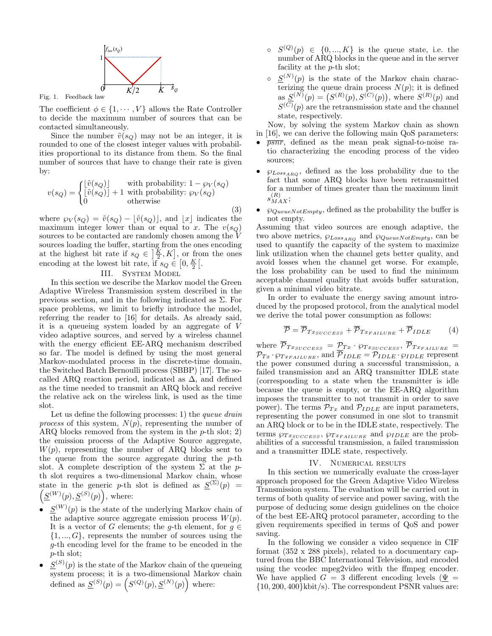

Fig. 1. Feedback law

The coefficient  $\phi \in \{1, \dots, V\}$  allows the Rate Controller to decide the maximum number of sources that can be contacted simultaneously.

Since the number  $\tilde{v}(s_Q)$  may not be an integer, it is rounded to one of the closest integer values with probabilities proportional to its distance from them. So the final number of sources that have to change their rate is given by:

$$
v(s_Q) = \begin{cases} \left\lfloor \tilde{v}(s_Q) \right\rfloor & \text{with probability: } 1 - \wp_V(s_Q) \\ \left\lfloor \tilde{v}(s_Q) \right\rfloor + 1 & \text{with probability: } \wp_V(s_Q) \\ 0 & \text{otherwise} \end{cases} \tag{3}
$$

where  $\wp_V(s_Q) = \tilde{v}(s_Q) - [\tilde{v}(s_Q)],$  and  $[x]$  indicates the maximum integer lower than or equal to  $x$ . The  $v(s_Q)$ sources to be contacted are randomly chosen among the *V* sources loading the buffer, starting from the ones encoding at the highest bit rate if  $s_Q \in \left[\frac{K}{2}, K\right]$ , or from the ones encoding at the lowest bit rate, if  $s_Q \in [0, \frac{K}{2}]$ .

# III. System Model

In this section we describe the Markov model the Green Adaptive Wireless Transmission system described in the previous section, and in the following indicated as  $\Sigma$ . For space problems, we limit to briefly introduce the model, referring the reader to [16] for details. As already said, it is a queueing system loaded by an aggregate of *V* video adaptive sources, and served by a wireless channel with the energy efficient EE-ARQ mechanism described so far. The model is defined by using the most general Markov-modulated process in the discrete-time domain, the Switched Batch Bernoulli process (SBBP) [17]. The socalled ARQ reaction period, indicated as  $\Delta$ , and defined as the time needed to transmit an ARQ block and receive the relative ack on the wireless link, is used as the time slot.

Let us define the following processes: 1) the *queue drain process* of this system, *N*(*p*), representing the number of ARQ blocks removed from the system in the *p*-th slot; 2) the emission process of the Adaptive Source aggregate,  $W(p)$ , representing the number of ARQ blocks sent to the queue from the source aggregate during the *p*-th slot. A complete description of the system  $\Sigma$  at the *p*th slot requires a two-dimensional Markov chain, whose state in the generic *p*-th slot is defined as  $S^{(\Sigma)}$  $\sqrt{2}$  $(p) =$  $S^{(W)}(p), S^{(S)}(p)$ , where:

- $S^{(W)}(p)$  is the state of the underlying Markov chain of the adaptive source aggregate emission process  $W(p)$ . It is a vector of *G* elements; the *q*-th element, for  $q \in$ *{*1*, ..., G}*, represents the number of sources using the *g*-th encoding level for the frame to be encoded in the *p*-th slot;
- $S^{(S)}(p)$  is the state of the Markov chain of the queueing system process; it is a two-dimensional Markov chain defined as  $\underline{S}^{(S)}(p) = (S^{(Q)}(p), \underline{S}^{(N)}(p))$  where:
- $\circ$  *S*<sup>(*Q*)</sup>(*p*) ∈ {0, ..., *K*} is the queue state, i.e. the number of ARQ blocks in the queue and in the server facility at the *p*-th slot;
- *◦ S* (*N*) (*p*) is the state of the Markov chain characterizing the queue drain process  $N(p)$ ; it is defined as  $S^{(N)}(p) = (S^{(R)}(p), S^{(C)}(p))$ , where  $S^{(R)}(p)$  and  $S^{(C)}(p)$  are the retransmission state and the channel state, respectively.

Now, by solving the system Markov chain as shown in [16], we can derive the following main QoS parameters:

- $\overline{psnr}$ , defined as the mean peak signal-to-noise ratio characterizing the encoding process of the video sources;
- $\wp_{Loss_{ARQ}}$ , defined as the loss probability due to the fact that some ARQ blocks have been retransmitted for a number of times greater than the maximum limit  $s_{MAX}^{(R)};$
- *• ℘QueueNotEmpty*, defined as the probability the buffer is not empty.

Assuming that video sources are enough adaptive, the two above metrics,  $\wp_{Loss_{ABO}}$  and  $\wp_{QueueNotEmpty}$ , can be used to quantify the capacity of the system to maximize link utilization when the channel gets better quality, and avoid losses when the channel get worse. For example, the loss probability can be used to find the minimum acceptable channel quality that avoids buffer saturation, given a minimal video bitrate.

In order to evaluate the energy saving amount introduced by the proposed protocol, from the analytical model we derive the total power consumption as follows:

$$
\overline{\mathcal{P}} = \overline{\mathcal{P}}_{Tx_{SUCCESS}} + \overline{\mathcal{P}}_{Tx_{FAILURE}} + \overline{\mathcal{P}}_{IDLE}
$$
 (4)

where  $\mathcal{P}_{Tx_{SUCCESS}} = \underline{\mathcal{P}}_{Tx} \cdot \varphi_{Tx_{SUCCESS}}$ ,  $\mathcal{P}_{Tx_{FAILURE}} =$  $\mathcal{P}_{Tx} \cdot \mathcal{P}_{Tx_{FALURE}}$ , and  $\mathcal{P}_{IDLE} = \mathcal{P}_{IDLE} \cdot \mathcal{P}_{IDLE}$  represent the power consumed during a successful transmission, a failed transmission and an ARQ transmitter IDLE state (corresponding to a state when the transmitter is idle because the queue is empty, or the EE-ARQ algorithm imposes the transmitter to not transmit in order to save power). The terms  $\mathcal{P}_{Tx}$  and  $\mathcal{P}_{IDLE}$  are input parameters, representing the power consumed in one slot to transmit an ARQ block or to be in the IDLE state, respectively. The terms  $\wp_{Tx_{SUCCESS}}$ ,  $\wp_{Tx_{FAILURE}}$  and  $\wp_{IDLE}$  are the probabilities of a successful transmission, a failed transmission and a transmitter IDLE state, respectively.

## IV. NUMERICAL RESULTS

In this section we numerically evaluate the cross-layer approach proposed for the Green Adaptive Video Wireless Transmission system. The evaluation will be carried out in terms of both quality of service and power saving, with the purpose of deducing some design guidelines on the choice of the best EE-ARQ protocol parameter, according to the given requirements specified in terms of QoS and power saving.

In the following we consider a video sequence in CIF format (352 x 288 pixels), related to a documentary captured from the BBC International Television, and encoded using the vcodec mpeg2video with the ffmpeg encoder. We have applied  $G = 3$  different encoding levels ( $\Psi =$ *{*10*,* 200*,* 400*}*kbit/s). The correspondent PSNR values are: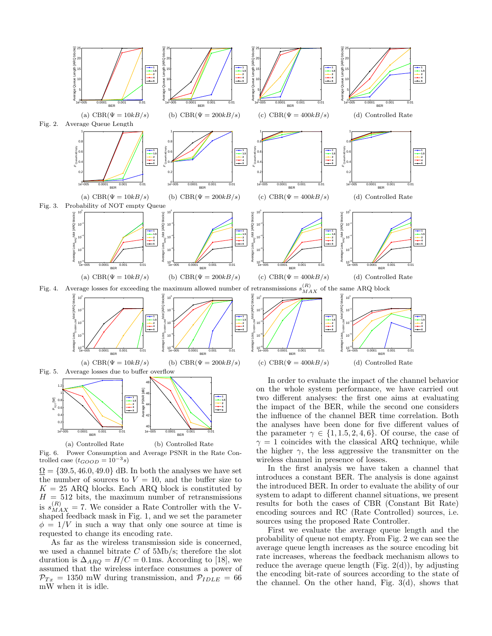

**6**

two different analyses: the first one aims at evaluating the impact of the BER, while the second one considers the influence of the channel BER time correlation. Both the analyses have been done for five different values of the parameter  $\gamma \in \{1, 1.5, 2, 4, 6\}$ . Of course, the case of  $\gamma = 1$  coincides with the classical ARQ technique, while the higher  $\gamma$ , the less aggressive the transmitter on the wireless channel in presence of losses.

In the first analysis we have taken a channel that introduces a constant BER. The analysis is done against the introduced BER. In order to evaluate the ability of our system to adapt to different channel situations, we present results for both the cases of CBR (Constant Bit Rate) encoding sources and RC (Rate Controlled) sources, i.e. sources using the proposed Rate Controller.

First we evaluate the average queue length and the probability of queue not empty. From Fig. 2 we can see the average queue length increases as the source encoding bit rate increases, whereas the feedback mechanism allows to reduce the average queue length (Fig.  $2(d)$ ), by adjusting the encoding bit-rate of sources according to the state of the channel. On the other hand, Fig. 3(d), shows that

(a) Controlled Rate (b) Controlled Rate Fig. 6. Power Consumption and Average PSNR in the Rate Controlled case  $(t_{GOOD} = 10^{-3}s)$ 

40 42

1e−005 0.0001 0.001 0.01

BER

**6**

1e−005 0.0001 0.001 0.01

BER

 $0\frac{1}{2}$  $0.2$  $\epsilon$ 

 $\Omega = \{39.5, 46.0, 49.0\}$  dB. In both the analyses we have set the number of sources to  $V = 10$ , and the buffer size to  $K = 25$  ARQ blocks. Each ARQ block is constituted by  $H = 512$  bits, the maximum number of retransmissions is  $s_{MAX}^{(R)} = 7$ . We consider a Rate Controller with the Vshaped feedback mask in Fig. 1, and we set the parameter  $\phi = 1/V$  in such a way that only one source at time is requested to change its encoding rate.

As far as the wireless transmission side is concerned, we used a channel bitrate *C* of 5Mb/s; therefore the slot duration is  $\Delta_{ARQ} = H/C = 0.1$ ms. According to [18], we assumed that the wireless interface consumes a power of  $\mathcal{P}_{Tx} = 1350$  mW during transmission, and  $\mathcal{P}_{IDLE} = 66$ mW when it is idle.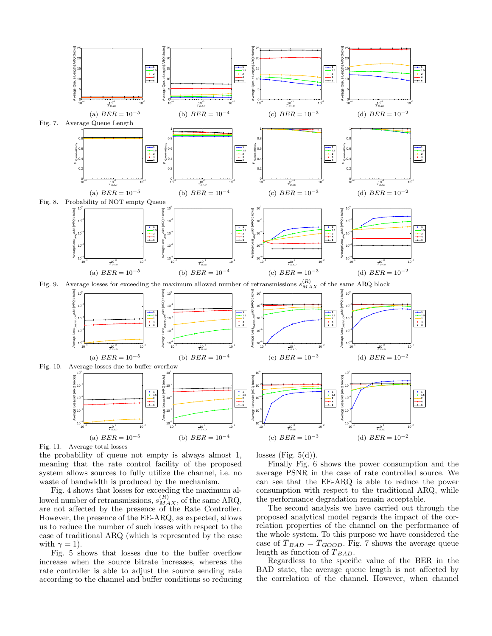

Fig. 11. Average total losses

the probability of queue not empty is always almost 1, meaning that the rate control facility of the proposed system allows sources to fully utilize the channel, i.e. no waste of bandwidth is produced by the mechanism.

Fig. 4 shows that losses for exceeding the maximum allowed number of retransmissions,  $s_{MAX}^{(R)}$ , of the same ARQ, are not affected by the presence of the Rate Controller. However, the presence of the EE-ARQ, as expected, allows us to reduce the number of such losses with respect to the case of traditional ARQ (which is represented by the case with  $\gamma = 1$ ).

Fig. 5 shows that losses due to the buffer overflow increase when the source bitrate increases, whereas the rate controller is able to adjust the source sending rate according to the channel and buffer conditions so reducing losses (Fig.  $5(d)$ ).

Finally Fig. 6 shows the power consumption and the average PSNR in the case of rate controlled source. We can see that the EE-ARQ is able to reduce the power consumption with respect to the traditional ARQ, while the performance degradation remain acceptable.

The second analysis we have carried out through the proposed analytical model regards the impact of the correlation properties of the channel on the performance of the whole system. To this purpose we have considered the case of  $\overline{T}_{BAD} = \overline{T}_{GOOD}$ . Fig. 7 shows the average queue length as function of  $\overline{T}_{BAD}$ .

Regardless to the specific value of the BER in the BAD state, the average queue length is not affected by the correlation of the channel. However, when channel